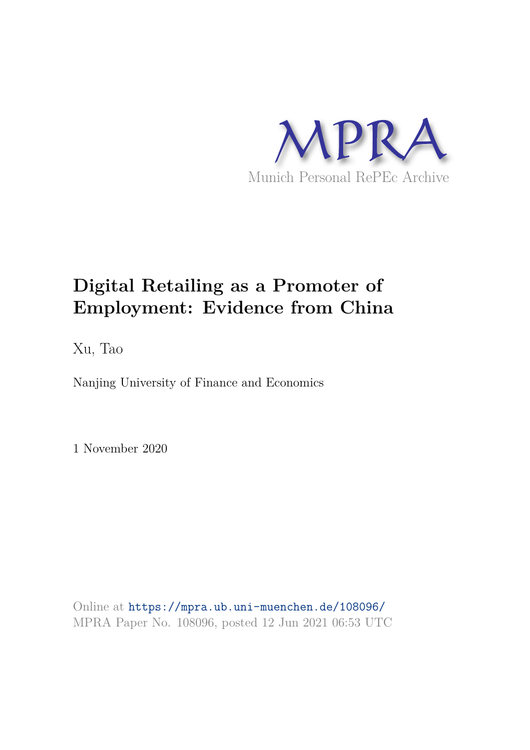

# **Digital Retailing as a Promoter of Employment: Evidence from China**

Xu, Tao

Nanjing University of Finance and Economics

1 November 2020

Online at https://mpra.ub.uni-muenchen.de/108096/ MPRA Paper No. 108096, posted 12 Jun 2021 06:53 UTC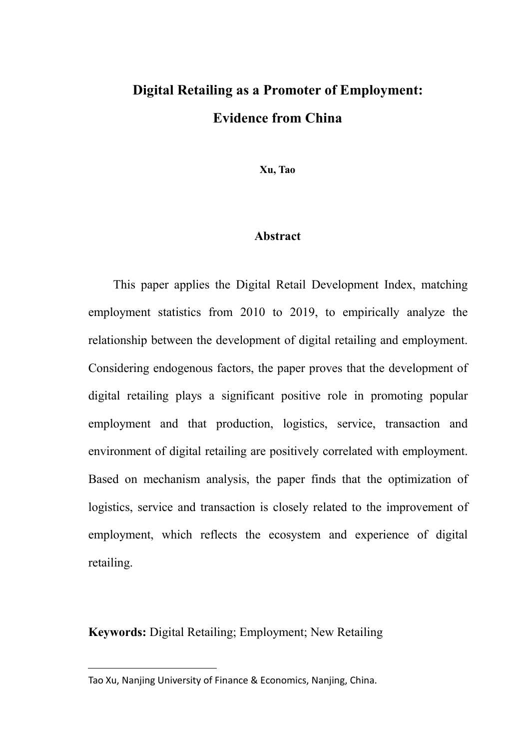## **Digital Retailing as a Promoter of Employment: Evidence from China**

**Xu, T[ao](#page-1-0)**

## **Abstract**

This paper applies the Digital Retail Development Index, matching employment statistics from 2010 to 2019, to empirically analyze the relationship between the development of digital retailing and employment. Considering endogenous factors, the paper proves that the development of digital retailing plays a significant positive role in promoting popular employment and that production, logistics, service, transaction and environment of digital retailing are positively correlated with employment. Based on mechanism analysis, the paper finds that the optimization of logistics, service and transaction is closely related to the improvement of employment, which reflects the ecosystem and experience of digital retailing.

**Keywords:** Digital Retailing; Employment; New Retailing

<span id="page-1-0"></span>Tao Xu, Nanjing University of Finance & Economics, Nanjing, China.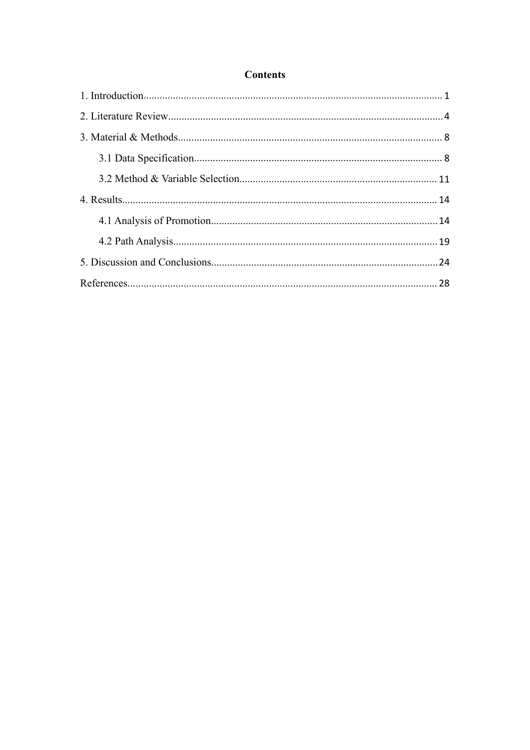## **Contents**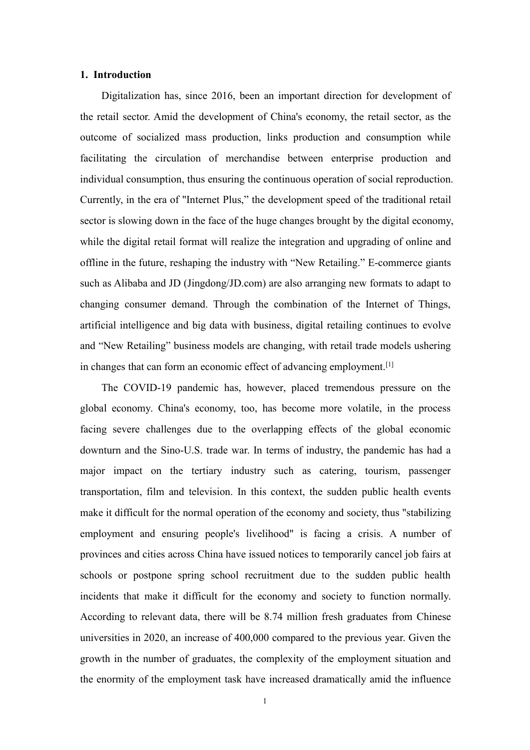#### <span id="page-3-0"></span>**1. Introduction**

Digitalization has, since 2016, been an important direction for development of the retail sector. Amid the development of China's economy, the retail sector, as the outcome of socialized mass production, links production and consumption while facilitating the circulation of merchandise between enterprise production and individual consumption, thus ensuring the continuous operation of social reproduction. Currently, in the era of "Internet Plus," the development speed of the traditional retail sector is slowing down in the face of the huge changes brought by the digital economy, while the digital retail format will realize the integration and upgrading of online and offline in the future, reshaping the industry with "New Retailing." E-commerce giants such as Alibaba and JD (Jingdong/JD.com) are also arranging new formats to adapt to changing consumer demand. Through the combination of the Internet of Things, artificial intelligence and big data with business, digital retailing continues to evolve and "New Retailing" business models are changing, with retail trade models ushering in changes that can form an economic effect of advancing employment.<sup>[[1\]](#page-30-1)</sup>

The COVID-19 pandemic has, however, placed tremendous pressure on the global economy. China's economy, too, has become more volatile, in the process facing severe challenges due to the overlapping effects of the global economic downturn and the Sino-U.S. trade war. In terms of industry, the pandemic has had a major impact on the tertiary industry such as catering, tourism, passenger transportation, film and television. In this context, the sudden public health events make it difficult for the normal operation of the economy and society, thus "stabilizing employment and ensuring people's livelihood" is facing a crisis. A number of provinces and cities across China have issued notices to temporarily cancel job fairs at schools or postpone spring school recruitment due to the sudden public health incidents that make it difficult for the economy and society to function normally. According to relevant data, there will be 8.74 million fresh graduates from Chinese universities in 2020, an increase of 400,000 compared to the previous year. Given the growth in the number of graduates, the complexity of the employment situation and the enormity of the employment task have increased dramatically amid the influence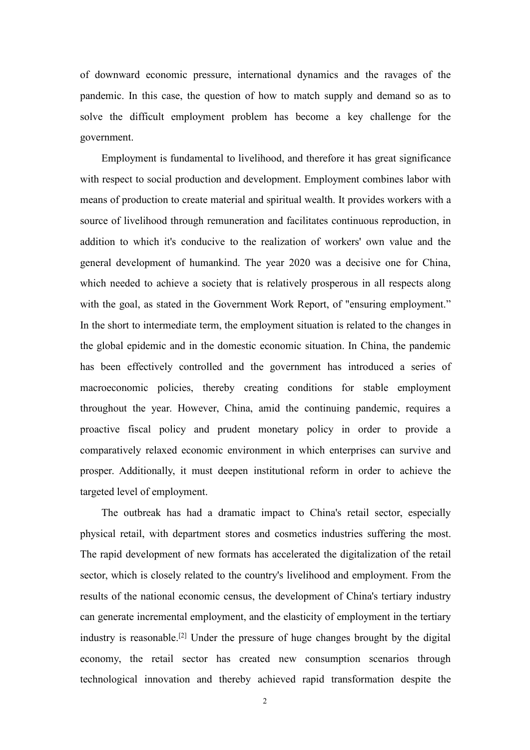of downward economic pressure, international dynamics and the ravages of the pandemic. In this case, the question of how to match supply and demand so as to solve the difficult employment problem has become a key challenge for the government.

Employment is fundamental to livelihood, and therefore it has great significance with respect to social production and development. Employment combines labor with means of production to create material and spiritual wealth. It provides workers with a source of livelihood through remuneration and facilitates continuous reproduction, in addition to which it's conducive to the realization of workers' own value and the general development of humankind. The year 2020 was a decisive one for China, which needed to achieve a society that is relatively prosperous in all respects along with the goal, as stated in the Government Work Report, of "ensuring employment." In the short to intermediate term, the employment situation is related to the changes in the global epidemic and in the domestic economic situation. In China, the pandemic has been effectively controlled and the government has introduced a series of macroeconomic policies, thereby creating conditions for stable employment throughout the year. However, China, amid the continuing pandemic, requires a proactive fiscal policy and prudent monetary policy in order to provide a comparatively relaxed economic environment in which enterprises can survive and prosper. Additionally, it must deepen institutional reform in order to achieve the targeted level of employment.

The outbreak has had a dramatic impact to China's retail sector, especially physical retail, with department stores and cosmetics industries suffering the most. The rapid development of new formats has accelerated the digitalization of the retail sector, which is closely related to the country's livelihood and employment. From the results of the national economic census, the development of China's tertiary industry can generate incremental employment, and the elasticity of employment in the tertiary industry is reasonable.[\[2](#page-30-2)] Under the pressure of huge changes brought by the digital economy, the retail sector has created new consumption scenarios through technological innovation and thereby achieved rapid transformation despite the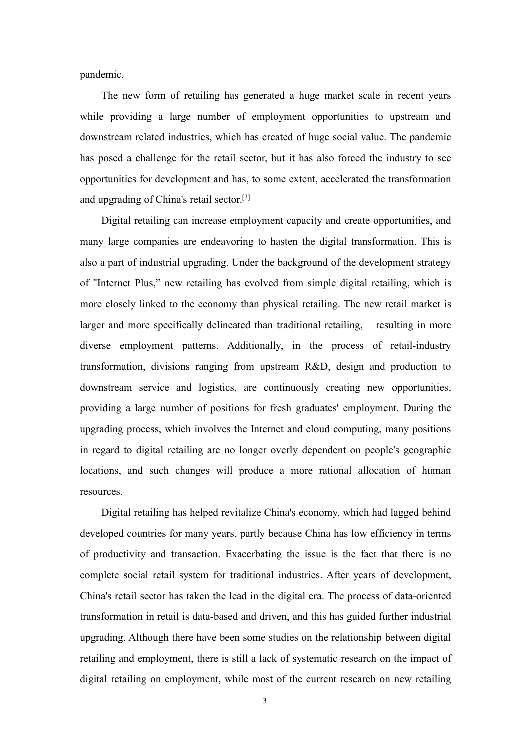pandemic.

The new form of retailing has generated a huge market scale in recent years while providing a large number of employment opportunities to upstream and downstream related industries, which has created of huge social value. The pandemic has posed a challenge for the retail sector, but it has also forced the industry to see opportunities for development and has, to some extent, accelerated the transformation and upgrading of China's retail sector.[[3](#page-30-3)]

Digital retailing can increase employment capacity and create opportunities, and many large companies are endeavoring to hasten the digital transformation. This is also a part of industrial upgrading. Under the background of the development strategy of "Internet Plus," new retailing has evolved from simple digital retailing, which is more closely linked to the economy than physical retailing. The new retail market is larger and more specifically delineated than traditional retailing, resulting in more diverse employment patterns. Additionally, in the process of retail-industry transformation, divisions ranging from upstream R&D, design and production to downstream service and logistics, are continuously creating new opportunities, providing a large number of positions for fresh graduates' employment. During the upgrading process, which involves the Internet and cloud computing, many positions in regard to digital retailing are no longer overly dependent on people's geographic locations, and such changes will produce a more rational allocation of human resources.

Digital retailing has helped revitalize China's economy, which had lagged behind developed countries for many years, partly because China has low efficiency in terms of productivity and transaction. Exacerbating the issue is the fact that there is no complete social retail system for traditional industries. After years of development, China's retail sector has taken the lead in the digital era. The process of data-oriented transformation in retail is data-based and driven, and this has guided further industrial upgrading. Although there have been some studies on the relationship between digital retailing and employment, there is still a lack of systematic research on the impact of digital retailing on employment, while most of the current research on new retailing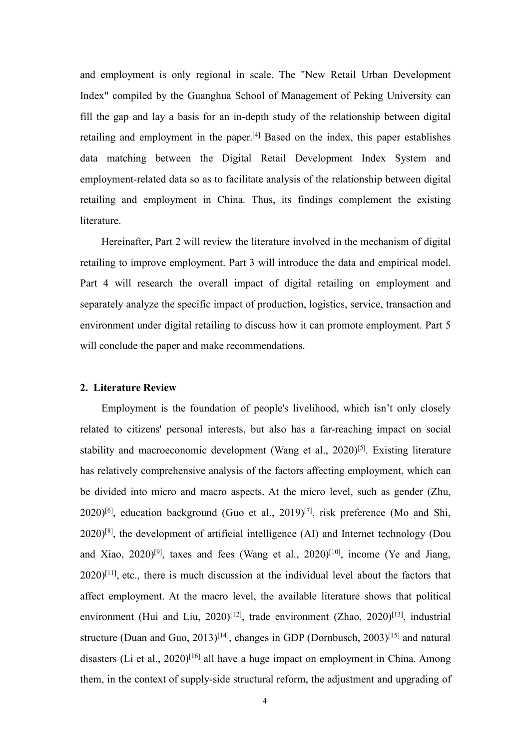and employment is only regional in scale. The "New Retail Urban Development Index" compiled by the Guanghua School of Management of Peking University can fill the gap and lay a basis for an in-depth study of the relationship between digital retailing and employment in the paper.[\[4\]](#page-30-4) Based on the index, this paper establishes data matching between the Digital Retail Development Index System and employment-related data so as to facilitate analysis of the relationship between digital retailing and employment in China. Thus, its findings complement the existing literature.

Hereinafter, Part 2 will review the literature involved in the mechanism of digital retailing to improve employment. Part 3 will introduce the data and empirical model. Part 4 will research the overall impact of digital retailing on employment and separately analyze the specific impact of production, logistics, service, transaction and environment under digital retailing to discuss how it can promote employment. Part 5 will conclude the paper and make recommendations.

#### <span id="page-6-0"></span>**2. Literature Review**

Employment is the foundation of people's livelihood, which isn't only closely related to citizens' personal interests, but also has a far-reaching impact on social stability and macroeconomic development (Wang et al., 2020)<sup>[\[5](#page-30-5)]</sup>. Existing literature has relatively comprehensive analysis of the factors affecting employment, which can be divided into micro and macro aspects. At the micro level, such as gender (Zhu,  $2020$ <sup>[[6](#page-30-6)]</sup>, education background (Guo et al.,  $2019$ <sup>[\[7](#page-30-7)]</sup>, risk preference (Mo and Shi, 2020)<sup>[[8](#page-30-8)]</sup>, the development of artificial intelligence (AI) and Internet technology (Dou and Xiao,  $2020$ <sup>[[9\]](#page-30-9)</sup>, taxes and fees (Wang et al.,  $2020$ <sup>[\[10](#page-30-10)]</sup>, income (Ye and Jiang,  $2020$ <sup>[[11](#page-30-11)]</sup>, etc., there is much discussion at the individual level about the factors that affect employment. At the macro level, the available literature shows that political environment (Hui and Liu, 2020)<sup>[\[12](#page-31-0)]</sup>, trade environment (Zhao, 2020)<sup>[[13](#page-31-1)]</sup>, industrial structure (Duan and Guo, 2013)<sup>[[14\]](#page-31-2)</sup>, changes in GDP (Dornbusch, 2003)<sup>[[15](#page-31-3)]</sup> and natural disasters (Li et al., 2020)<sup>[[16](#page-31-4)]</sup> all have a huge impact on employment in China. Among them, in the context of supply-side structural reform, the adjustment and upgrading of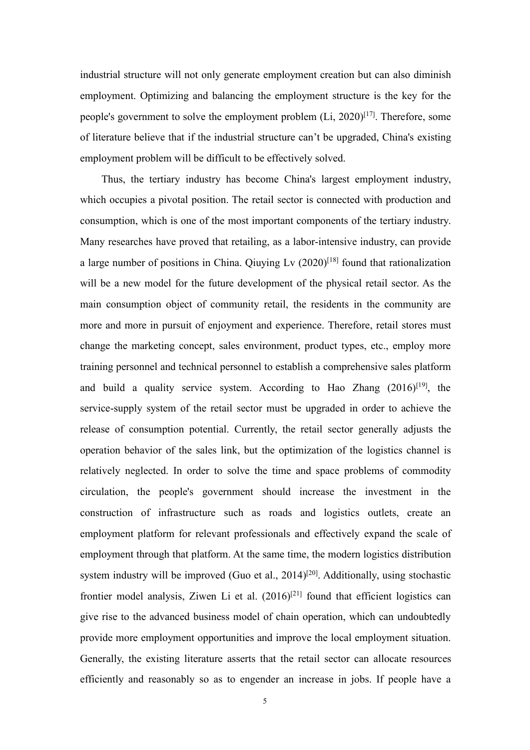industrial structure will not only generate employment creation but can also diminish employment. Optimizing and balancing the employment structure is the key for the people's government to solve the employment problem (Li, 2020)<sup>[\[17\]](#page-31-5)</sup>. Therefore, some of literature believe that if the industrial structure can't be upgraded, China's existing employment problem will be difficult to be effectively solved.

Thus, the tertiary industry has become China's largest employment industry, which occupies a pivotal position. The retail sector is connected with production and consumption, which is one of the most important components of the tertiary industry. Many researches have proved that retailing, as a labor-intensive industry, can provide a large number of positions in China. Qiuying Lv (2020)<sup>[\[18\]](#page-31-6)</sup> found that rationalization will be a new model for the future development of the physical retail sector. As the main consumption object of community retail, the residents in the community are more and more in pursuit of enjoyment and experience. Therefore, retail stores must change the marketing concept, sales environment, product types, etc., employ more training personnel and technical personnel to establish a comprehensive sales platform and build a quality service system. According to Hao Zhang  $(2016)^{[19]}$  $(2016)^{[19]}$  $(2016)^{[19]}$ , the service-supply system of the retail sector must be upgraded in order to achieve the release of consumption potential. Currently, the retail sector generally adjusts the operation behavior of the sales link, but the optimization of the logistics channel is relatively neglected. In order to solve the time and space problems of commodity circulation, the people's government should increase the investment in the construction of infrastructure such as roads and logistics outlets, create an employment platform for relevant professionals and effectively expand the scale of employment through that platform. At the same time, the modern logistics distribution system industry will be improved (Guo et al., [20](#page-31-8)14)<sup>[20]</sup>. Additionally, using stochastic frontier model analysis, Ziwen Li et al. (2016)<sup>[[21\]](#page-31-9)</sup> found that efficient logistics can give rise to the advanced business model of chain operation, which can undoubtedly provide more employment opportunities and improve the local employment situation. Generally, the existing literature asserts that the retail sector can allocate resources efficiently and reasonably so as to engender an increase in jobs. If people have a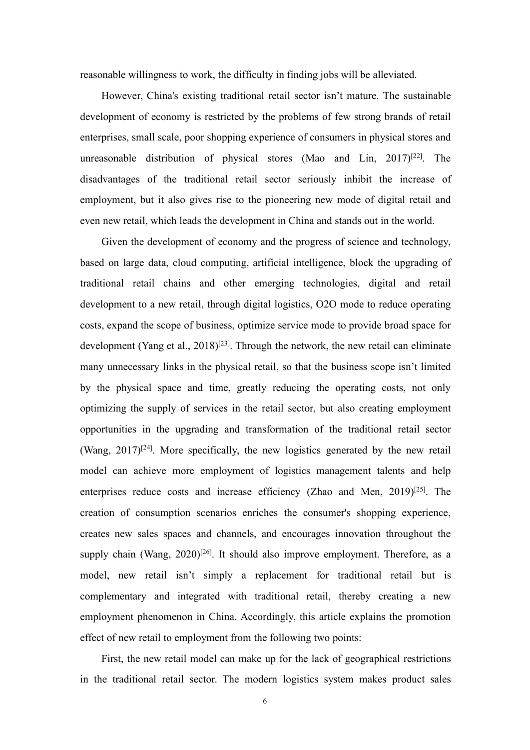reasonable willingness to work, the difficulty in finding jobs will be alleviated.

However, China's existing traditional retail sector isn't mature. The sustainable development of economy is restricted by the problems of few strong brands of retail enterprises, small scale, poor shopping experience of consumers in physical stores and unreasonable distribution of physical stores (Mao and Lin, 2017)<sup>[\[22\]](#page-31-10)</sup>. The disadvantages of the traditional retail sector seriously inhibit the increase of employment, but it also gives rise to the pioneering new mode of digital retail and even new retail, which leads the development in China and stands out in the world.

Given the development of economy and the progress of science and technology, based on large data, cloud computing, artificial intelligence, block the upgrading of traditional retail chains and other emerging technologies, digital and retail development to a new retail, through digital logistics, O2O mode to reduce operating costs, expand the scope of business, optimize service mode to provide broad space for development (Yang et al., 2018)<sup>[[23\]](#page-31-11)</sup>. Through the network, the new retail can eliminate many unnecessary links in the physical retail, so that the business scope isn't limited by the physical space and time, greatly reducing the operating costs, not only optimizing the supply of services in the retail sector, but also creating employment opportunities in the upgrading and transformation of the traditional retail sector (Wang,  $2017$ )<sup>[[24\]](#page-32-0)</sup>. More specifically, the new logistics generated by the new retail model can achieve more employment of logistics management talents and help enterprises reduce costs and increase efficiency (Zhao and Men, 2019)<sup>[[25\]](#page-32-1)</sup>. The creation of consumption scenarios enriches the consumer's shopping experience, creates new sales spaces and channels, and encourages innovation throughout the supply chain (Wang,  $2020$ )<sup>[[26](#page-32-2)]</sup>. It should also improve employment. Therefore, as a model, new retail isn't simply a replacement for traditional retail but is complementary and integrated with traditional retail, thereby creating a new employment phenomenon in China. Accordingly, this article explains the promotion effect of new retail to employment from the following two points:

First, the new retail model can make up for the lack of geographical restrictions in the traditional retail sector. The modern logistics system makes product sales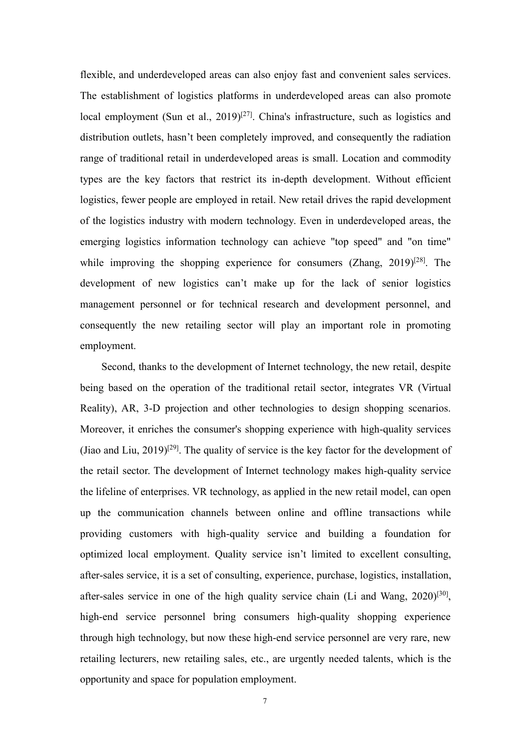flexible, and underdeveloped areas can also enjoy fast and convenient sales services. The establishment of logistics platforms in underdeveloped areas can also promote local employment (Sun et al., 2019)<sup>[\[27\]](#page-32-3)</sup>. China's infrastructure, such as logistics and distribution outlets, hasn't been completely improved, and consequently the radiation range of traditional retail in underdeveloped areas is small. Location and commodity types are the key factors that restrict its in-depth development. Without efficient logistics, fewer people are employed in retail. New retail drives the rapid development of the logistics industry with modern technology. Even in underdeveloped areas, the emerging logistics information technology can achieve "top speed" and "on time" while improving the shopping experience for consumers (Zhang,  $2019)^{[28]}$  $2019)^{[28]}$  $2019)^{[28]}$ . The development of new logistics can't make up for the lack of senior logistics management personnel or for technical research and development personnel, and consequently the new retailing sector will play an important role in promoting employment.

Second, thanks to the development of Internet technology, the new retail, despite being based on the operation of the traditional retail sector, integrates VR (Virtual Reality), AR, 3-D projection and other technologies to design shopping scenarios. Moreover, it enriches the consumer's shopping experience with high-quality services (Jiao and Liu, 2019)<sup>[\[29](#page-32-5)]</sup>. The quality of service is the key factor for the development of the retail sector. The development of Internet technology makes high-quality service the lifeline of enterprises. VR technology, as applied in the new retail model, can open up the communication channels between online and offline transactions while providing customers with high-quality service and building a foundation for optimized local employment. Quality service isn't limited to excellent consulting, after-sales service, it is a set of consulting, experience, purchase, logistics, installation, after-sales service in one of the high quality service chain (Li and Wang, 2020)<sup>[\[30](#page-32-6)]</sup>, high-end service personnel bring consumers high-quality shopping experience through high technology, but now these high-end service personnel are very rare, new retailing lecturers, new retailing sales, etc., are urgently needed talents, which is the opportunity and space for population employment.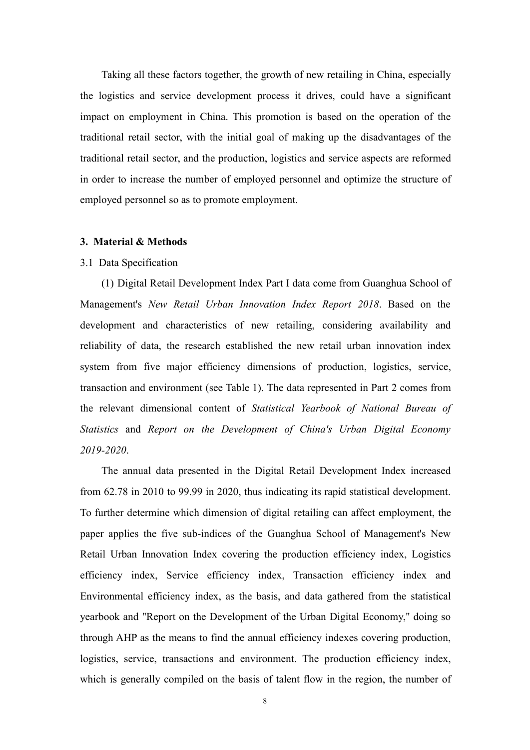Taking all these factors together, the growth of new retailing in China, especially the logistics and service development process it drives, could have a significant impact on employment in China. This promotion is based on the operation of the traditional retail sector, with the initial goal of making up the disadvantages of the traditional retail sector, and the production, logistics and service aspects are reformed in order to increase the number of employed personnel and optimize the structure of employed personnel so as to promote employment.

#### <span id="page-10-0"></span>**3. Material & Methods**

#### <span id="page-10-1"></span>3.1 Data Specification

(1) Digital Retail Development Index Part Ⅰ data come from Guanghua School of Management's *New Retail Urban Innovation Index Report 2018*. Based on the development and characteristics of new retailing, considering availability and reliability of data, the research established the new retail urban innovation index system from five major efficiency dimensions of production, logistics, service, transaction and environment (see Table 1). The data represented in Part 2 comes from the relevant dimensional content of *Statistical Yearbook of National Bureau of Statistics* and *Report on the Development of China's Urban Digital Economy 2019-2020*.

The annual data presented in the Digital Retail Development Index increased from 62.78 in 2010 to 99.99 in 2020, thus indicating its rapid statistical development. To further determine which dimension of digital retailing can affect employment, the paper applies the five sub-indices of the Guanghua School of Management's New Retail Urban Innovation Index covering the production efficiency index, Logistics efficiency index, Service efficiency index, Transaction efficiency index and Environmental efficiency index, as the basis, and data gathered from the statistical yearbook and "Report on the Development of the Urban Digital Economy," doing so through AHP as the means to find the annual efficiency indexes covering production, logistics, service, transactions and environment. The production efficiency index, which is generally compiled on the basis of talent flow in the region, the number of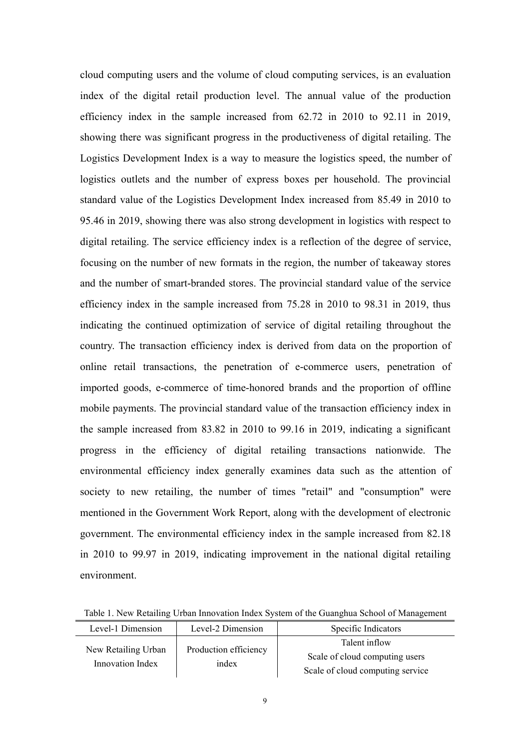cloud computing users and the volume of cloud computing services, is an evaluation index of the digital retail production level. The annual value of the production efficiency index in the sample increased from 62.72 in 2010 to 92.11 in 2019, showing there was significant progress in the productiveness of digital retailing. The Logistics Development Index is a way to measure the logistics speed, the number of logistics outlets and the number of express boxes per household. The provincial standard value of the Logistics Development Index increased from 85.49 in 2010 to 95.46 in 2019, showing there was also strong development in logistics with respect to digital retailing. The service efficiency index is a reflection of the degree of service, focusing on the number of new formats in the region, the number of takeaway stores and the number of smart-branded stores. The provincial standard value of the service efficiency index in the sample increased from 75.28 in 2010 to 98.31 in 2019, thus indicating the continued optimization of service of digital retailing throughout the country. The transaction efficiency index is derived from data on the proportion of online retail transactions, the penetration of e-commerce users, penetration of imported goods, e-commerce of time-honored brands and the proportion of offline mobile payments. The provincial standard value of the transaction efficiency index in the sample increased from 83.82 in 2010 to 99.16 in 2019, indicating a significant progress in the efficiency of digital retailing transactions nationwide. The environmental efficiency index generally examines data such as the attention of society to new retailing, the number of times "retail" and "consumption" were mentioned in the Government Work Report, along with the development of electronic government. The environmental efficiency index in the sample increased from 82.18 in 2010 to 99.97 in 2019, indicating improvement in the national digital retailing environment.

Table 1. New Retailing Urban Innovation Index System of the Guanghua School of Management

| Level-1 Dimension                       | Level-2 Dimension     | Specific Indicators              |
|-----------------------------------------|-----------------------|----------------------------------|
| New Retailing Urban<br>Innovation Index | Production efficiency | Talent inflow                    |
|                                         | index                 | Scale of cloud computing users   |
|                                         |                       | Scale of cloud computing service |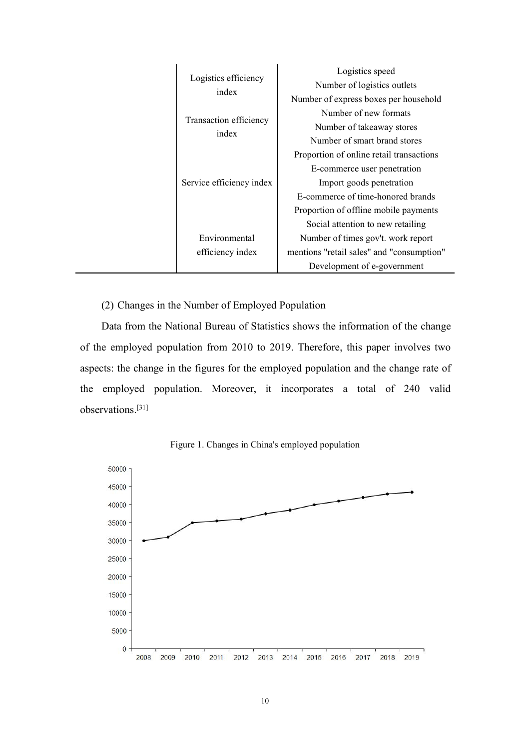| Logistics efficiency<br>index<br>Transaction efficiency<br>index<br>Service efficiency index | Logistics speed<br>Number of logistics outlets<br>Number of express boxes per household<br>Number of new formats<br>Number of takeaway stores<br>Number of smart brand stores<br>Proportion of online retail transactions<br>E-commerce user penetration<br>Import goods penetration |
|----------------------------------------------------------------------------------------------|--------------------------------------------------------------------------------------------------------------------------------------------------------------------------------------------------------------------------------------------------------------------------------------|
| Environmental                                                                                | E-commerce of time-honored brands<br>Proportion of offline mobile payments<br>Social attention to new retailing<br>Number of times gov't. work report                                                                                                                                |
|                                                                                              |                                                                                                                                                                                                                                                                                      |
| efficiency index                                                                             | mentions "retail sales" and "consumption"<br>Development of e-government                                                                                                                                                                                                             |

(2) Changes in the Number of Employed Population

Data from the National Bureau of Statistics shows the information of the change of the employed population from 2010 to 2019. Therefore, this paper involves two aspects: the change in the figures for the employed population and the change rate of the employed population. Moreover, it incorporates a total of 240 valid observations.[\[31\]](#page-32-7)



Figure 1. Changes in China's employed population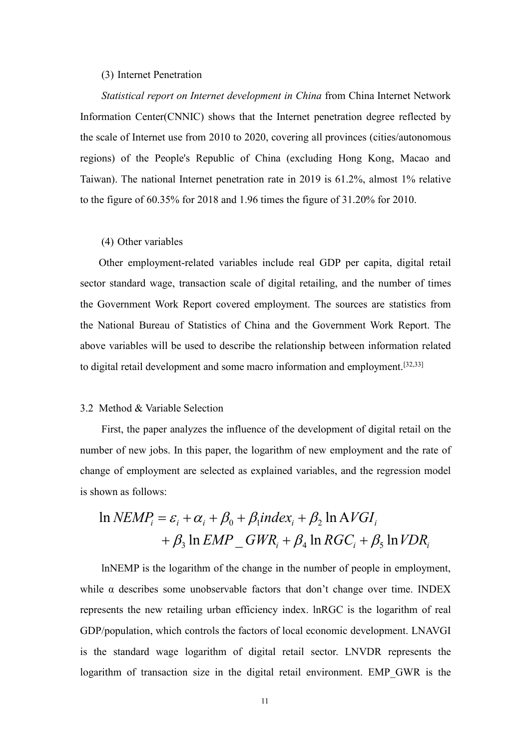#### (3) Internet Penetration

*Statistical report on Internet development in China* from China Internet Network Information Center(CNNIC) shows that the Internet penetration degree reflected by the scale of Internet use from 2010 to 2020, covering all provinces (cities/autonomous regions) of the People's Republic of China (excluding Hong Kong, Macao and Taiwan). The national Internet penetration rate in 2019 is 61.2%, almost 1% relative to the figure of 60.35% for 2018 and 1.96 times the figure of 31.20% for 2010.

#### (4) Other variables

Other employment-related variables include real GDP per capita, digital retail sector standard wage, transaction scale of digital retailing, and the number of times the Government Work Report covered employment. The sources are statistics from the National Bureau of Statistics of China and the Government Work Report. The above variables will be used to describe the relationship between information related to digital retail development and some macro information and employment.[[32,](#page-32-8)[33](#page-32-9)]

#### <span id="page-13-0"></span>3.2 Method & Variable Selection

First, the paper analyzes the influence of the development of digital retail on the number of new jobs. In this paper, the logarithm of new employment and the rate of change of employment are selected as explained variables, and the regression model is shown as follows:

## $+ \beta_3 \ln EMP \quad GWR_i + \beta_4 \ln RGC_i + \beta_5 \ln VDR_i$  $\ln NEMP_i = \varepsilon_i + \alpha_i + \beta_0 + \beta_1 index_i + \beta_2 \ln AVGI_i$

lnNEMP is the logarithm of the change in the number of people in employment, while  $\alpha$  describes some unobservable factors that don't change over time. INDEX represents the new retailing urban efficiency index. lnRGC is the logarithm of real GDP/population, which controls the factors of local economic development. LNAVGI is the standard wage logarithm of digital retail sector. LNVDR represents the logarithm of transaction size in the digital retail environment. EMP\_GWR is the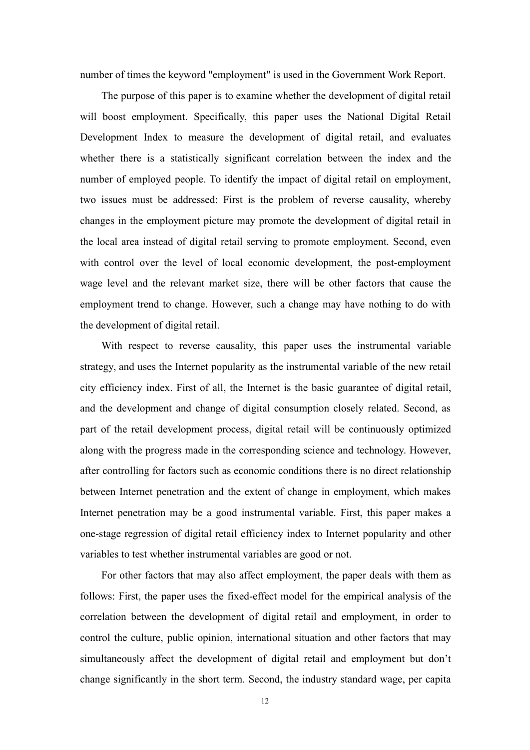number of times the keyword "employment" is used in the Government Work Report.

The purpose of this paper is to examine whether the development of digital retail will boost employment. Specifically, this paper uses the National Digital Retail Development Index to measure the development of digital retail, and evaluates whether there is a statistically significant correlation between the index and the number of employed people. To identify the impact of digital retail on employment, two issues must be addressed: First is the problem of reverse causality, whereby changes in the employment picture may promote the development of digital retail in the local area instead of digital retail serving to promote employment. Second, even with control over the level of local economic development, the post-employment wage level and the relevant market size, there will be other factors that cause the employment trend to change. However, such a change may have nothing to do with the development of digital retail.

With respect to reverse causality, this paper uses the instrumental variable strategy, and uses the Internet popularity as the instrumental variable of the new retail city efficiency index. First of all, the Internet is the basic guarantee of digital retail, and the development and change of digital consumption closely related. Second, as part of the retail development process, digital retail will be continuously optimized along with the progress made in the corresponding science and technology. However, after controlling for factors such as economic conditions there is no direct relationship between Internet penetration and the extent of change in employment, which makes Internet penetration may be a good instrumental variable. First, this paper makes a one-stage regression of digital retail efficiency index to Internet popularity and other variables to test whether instrumental variables are good or not.

For other factors that may also affect employment, the paper deals with them as follows: First, the paper uses the fixed-effect model for the empirical analysis of the correlation between the development of digital retail and employment, in order to control the culture, public opinion, international situation and other factors that may simultaneously affect the development of digital retail and employment but don't change significantly in the short term. Second, the industry standard wage, per capita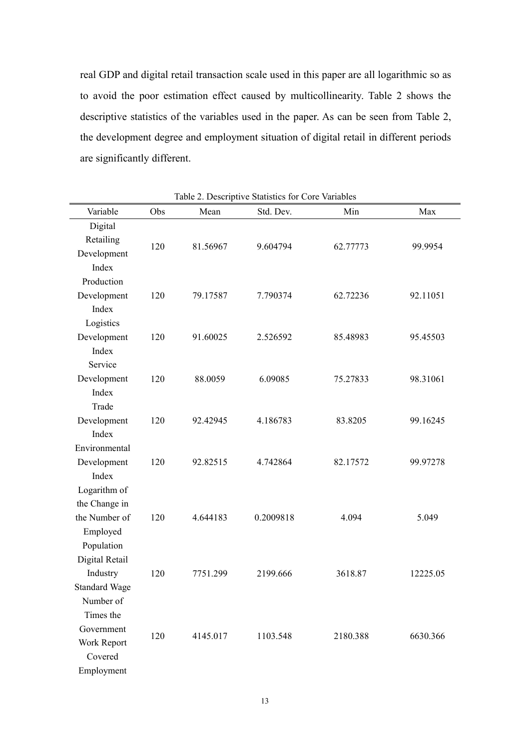real GDP and digital retail transaction scale used in this paper are all logarithmic so as to avoid the poor estimation effect caused by multicollinearity. Table 2 shows the descriptive statistics of the variables used in the paper. As can be seen from Table 2, the development degree and employment situation of digital retail in different periods are significantly different.

| Variable             | Obs | Mean     | $\epsilon$ blanded for $\epsilon$ or $\epsilon$ variables<br>Std. Dev. | Min      | Max      |
|----------------------|-----|----------|------------------------------------------------------------------------|----------|----------|
| Digital              |     |          |                                                                        |          |          |
| Retailing            |     |          |                                                                        |          |          |
| Development          | 120 | 81.56967 | 9.604794                                                               | 62.77773 | 99.9954  |
| Index                |     |          |                                                                        |          |          |
| Production           |     |          |                                                                        |          |          |
| Development          | 120 | 79.17587 | 7.790374                                                               | 62.72236 | 92.11051 |
| Index                |     |          |                                                                        |          |          |
| Logistics            |     |          |                                                                        |          |          |
| Development          | 120 | 91.60025 | 2.526592                                                               | 85.48983 | 95.45503 |
| Index                |     |          |                                                                        |          |          |
| Service              |     |          |                                                                        |          |          |
| Development          | 120 | 88.0059  | 6.09085                                                                | 75.27833 | 98.31061 |
| Index                |     |          |                                                                        |          |          |
| Trade                |     |          |                                                                        |          |          |
| Development          | 120 | 92.42945 | 4.186783                                                               | 83.8205  | 99.16245 |
| Index                |     |          |                                                                        |          |          |
| Environmental        |     |          |                                                                        |          |          |
| Development          | 120 | 92.82515 | 4.742864                                                               | 82.17572 | 99.97278 |
| Index                |     |          |                                                                        |          |          |
| Logarithm of         |     |          |                                                                        |          |          |
| the Change in        |     |          |                                                                        |          |          |
| the Number of        | 120 | 4.644183 | 0.2009818                                                              | 4.094    | 5.049    |
| Employed             |     |          |                                                                        |          |          |
| Population           |     |          |                                                                        |          |          |
| Digital Retail       |     |          |                                                                        |          |          |
| Industry             | 120 | 7751.299 | 2199.666                                                               | 3618.87  | 12225.05 |
| <b>Standard Wage</b> |     |          |                                                                        |          |          |
| Number of            |     |          |                                                                        |          |          |
| Times the            |     |          |                                                                        |          |          |
| Government           |     |          |                                                                        |          |          |
| Work Report          | 120 | 4145.017 | 1103.548                                                               | 2180.388 | 6630.366 |
| Covered              |     |          |                                                                        |          |          |
| Employment           |     |          |                                                                        |          |          |

Table 2. Descriptive Statistics for Core Variables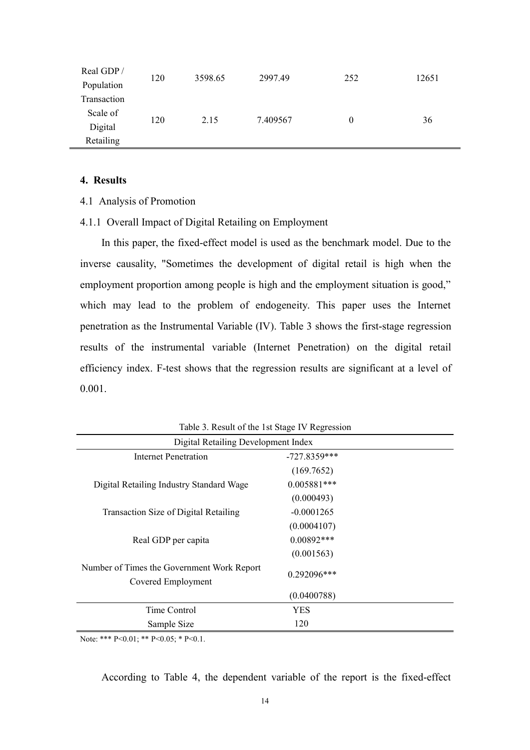| Real GDP/   | 120 | 3598.65 | 2997.49  | 252      | 12651 |  |
|-------------|-----|---------|----------|----------|-------|--|
| Population  |     |         |          |          |       |  |
| Transaction |     |         |          |          |       |  |
| Scale of    |     |         |          |          |       |  |
| Digital     | 120 | 2.15    | 7.409567 | $\theta$ | 36    |  |
| Retailing   |     |         |          |          |       |  |

## <span id="page-16-0"></span>**4. Results**

- <span id="page-16-1"></span>4.1 Analysis of Promotion
- 4.1.1 Overall Impact of Digital Retailing on Employment

In this paper, the fixed-effect model is used as the benchmark model. Due to the inverse causality, "Sometimes the development of digital retail is high when the employment proportion among people is high and the employment situation is good," which may lead to the problem of endogeneity. This paper uses the Internet penetration as the Instrumental Variable (IV). Table 3 shows the first-stage regression results of the instrumental variable (Internet Penetration) on the digital retail efficiency index. F-test shows that the regression results are significant at a level of 0.001.

| $\frac{1}{2}$                                                    |                                     |  |  |  |  |  |  |
|------------------------------------------------------------------|-------------------------------------|--|--|--|--|--|--|
|                                                                  | Digital Retailing Development Index |  |  |  |  |  |  |
| $-727.8359***$<br>Internet Penetration                           |                                     |  |  |  |  |  |  |
|                                                                  | (169.7652)                          |  |  |  |  |  |  |
| Digital Retailing Industry Standard Wage                         | $0.005881***$                       |  |  |  |  |  |  |
|                                                                  | (0.000493)                          |  |  |  |  |  |  |
| Transaction Size of Digital Retailing                            | $-0.0001265$                        |  |  |  |  |  |  |
|                                                                  | (0.0004107)                         |  |  |  |  |  |  |
| Real GDP per capita                                              | $0.00892***$                        |  |  |  |  |  |  |
|                                                                  | (0.001563)                          |  |  |  |  |  |  |
| Number of Times the Government Work Report<br>Covered Employment | 0.292096***                         |  |  |  |  |  |  |
| (0.0400788)                                                      |                                     |  |  |  |  |  |  |
| Time Control                                                     | YES                                 |  |  |  |  |  |  |
| Sample Size                                                      | 120                                 |  |  |  |  |  |  |

Table 3. Result of the 1st Stage IV Regression

Note: \*\*\* P<0.01; \*\* P<0.05; \* P<0.1.

According to Table 4, the dependent variable of the report is the fixed-effect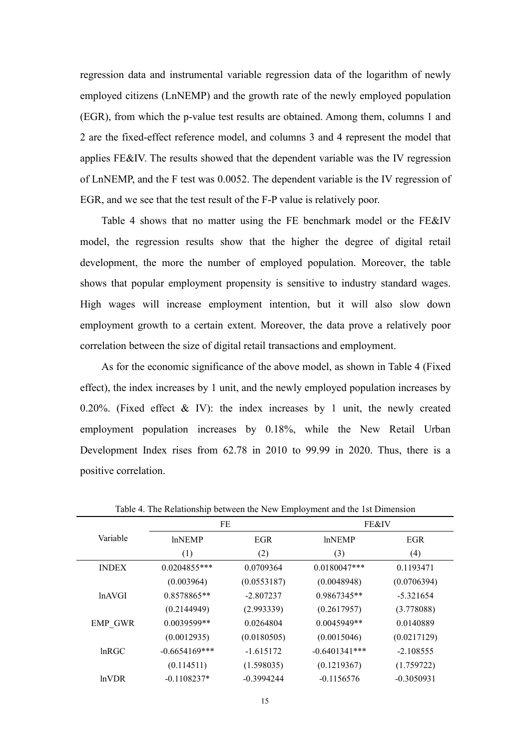regression data and instrumental variable regression data of the logarithm of newly employed citizens (LnNEMP) and the growth rate of the newly employed population (EGR), from which the p-value test results are obtained. Among them, columns 1 and 2 are the fixed-effect reference model, and columns 3 and 4 represent the model that applies FE&IV. The results showed that the dependent variable was the IV regression of LnNEMP, and the F test was 0.0052. The dependent variable is the IV regression of EGR, and we see that the test result of the F-P value is relatively poor.

Table 4 shows that no matter using the FE benchmark model or the FE&IV model, the regression results show that the higher the degree of digital retail development, the more the number of employed population. Moreover, the table shows that popular employment propensity is sensitive to industry standard wages. High wages will increase employment intention, but it will also slow down employment growth to a certain extent. Moreover, the data prove a relatively poor correlation between the size of digital retail transactions and employment.

As for the economic significance of the above model, as shown in Table 4 (Fixed effect), the index increases by 1 unit, and the newly employed population increases by 0.20%. (Fixed effect  $\&$  IV): the index increases by 1 unit, the newly created employment population increases by 0.18%, while the New Retail Urban Development Index rises from 62.78 in 2010 to 99.99 in 2020. Thus, there is a positive correlation.

|              | <b>FE</b>        |              | FE&IV           |              |
|--------------|------------------|--------------|-----------------|--------------|
| Variable     | <b>lnNEMP</b>    | EGR          | <b>lnNEMP</b>   | <b>EGR</b>   |
|              | (1)              | (2)          | (3)             | (4)          |
| <b>INDEX</b> | $0.0204855***$   | 0.0709364    | $0.0180047***$  | 0.1193471    |
|              | (0.003964)       | (0.0553187)  | (0.0048948)     | (0.0706394)  |
| lnAVGI       | $0.8578865**$    | $-2.807237$  | $0.9867345**$   | $-5.321654$  |
|              | (0.2144949)      | (2.993339)   | (0.2617957)     | (3.778088)   |
| EMP GWR      | $0.0039599**$    | 0.0264804    | $0.0045949**$   | 0.0140889    |
|              | (0.0012935)      | (0.0180505)  | (0.0015046)     | (0.0217129)  |
| lnRGC        | $-0.6654169$ *** | $-1.615172$  | $-0.6401341***$ | $-2.108555$  |
|              | (0.114511)       | (1.598035)   | (0.1219367)     | (1.759722)   |
| ln VDR       | $-0.1108237*$    | $-0.3994244$ | $-0.1156576$    | $-0.3050931$ |

Table 4. The Relationship between the New Employment and the 1st Dimension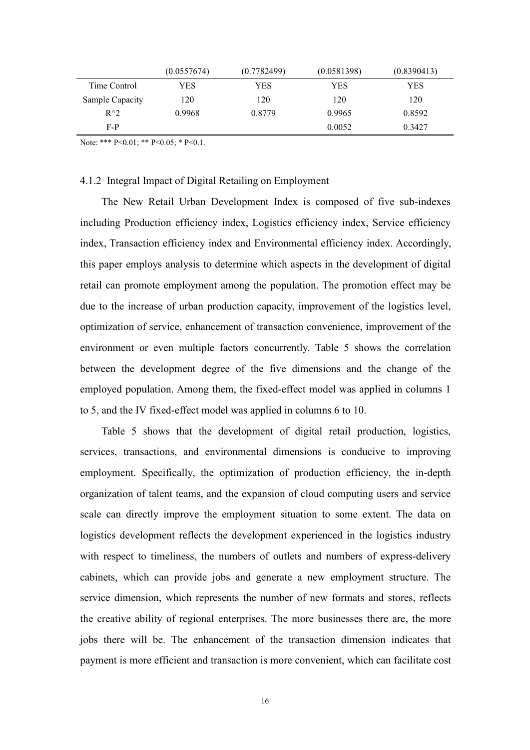|                 | (0.0557674) | (0.7782499) | (0.0581398) | (0.8390413) |
|-----------------|-------------|-------------|-------------|-------------|
| Time Control    | YES         | YES         | YES         | YES         |
| Sample Capacity | 120         | 120         | 120         | 120         |
| $R^{\wedge}2$   | 0.9968      | 0.8779      | 0.9965      | 0.8592      |
| $F-P$           |             |             | 0.0052      | 0.3427      |

Note: \*\*\* P<0.01; \*\* P<0.05; \* P<0.1.

## 4.1.2 Integral Impact of Digital Retailing on Employment

The New Retail Urban Development Index is composed of five sub-indexes including Production efficiency index, Logistics efficiency index, Service efficiency index, Transaction efficiency index and Environmental efficiency index. Accordingly, this paper employs analysis to determine which aspects in the development of digital retail can promote employment among the population. The promotion effect may be due to the increase of urban production capacity, improvement of the logistics level, optimization of service, enhancement of transaction convenience, improvement of the environment or even multiple factors concurrently. Table 5 shows the correlation between the development degree of the five dimensions and the change of the employed population. Among them, the fixed-effect model was applied in columns 1 to 5, and the IV fixed-effect model was applied in columns 6 to 10.

Table 5 shows that the development of digital retail production, logistics, services, transactions, and environmental dimensions is conducive to improving employment. Specifically, the optimization of production efficiency, the in-depth organization of talent teams, and the expansion of cloud computing users and service scale can directly improve the employment situation to some extent. The data on logistics development reflects the development experienced in the logistics industry with respect to timeliness, the numbers of outlets and numbers of express-delivery cabinets, which can provide jobs and generate a new employment structure. The service dimension, which represents the number of new formats and stores, reflects the creative ability of regional enterprises. The more businesses there are, the more jobs there will be. The enhancement of the transaction dimension indicates that payment is more efficient and transaction is more convenient, which can facilitate cost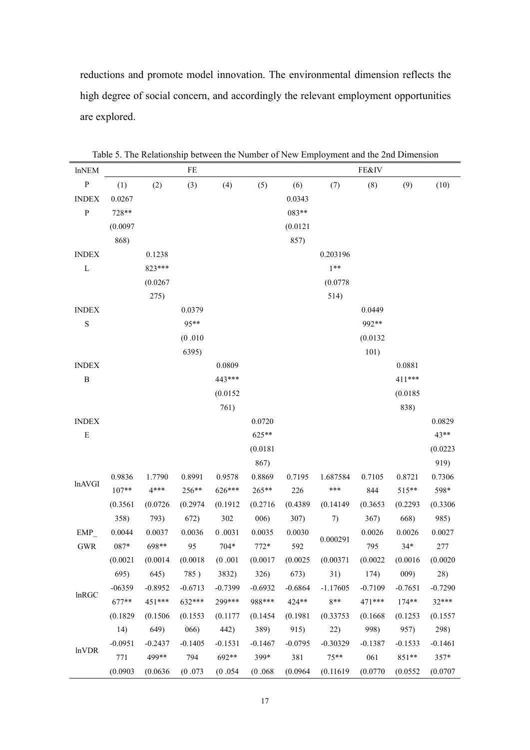reductions and promote model innovation. The environmental dimension reflects the high degree of social concern, and accordingly the relevant employment opportunities are explored.

| <b>lnNEM</b>         |           |           | FE        |           |           |           | racic 3. The relationship between the Funnoce of FOW Employment and the 2nd Dimension | FE&IV     |           |           |
|----------------------|-----------|-----------|-----------|-----------|-----------|-----------|---------------------------------------------------------------------------------------|-----------|-----------|-----------|
| ${\bf P}$            | (1)       | (2)       | (3)       | (4)       | (5)       | (6)       | (7)                                                                                   | (8)       | (9)       | (10)      |
| <b>INDEX</b>         | 0.0267    |           |           |           |           | 0.0343    |                                                                                       |           |           |           |
| ${\bf P}$            | 728**     |           |           |           |           | 083**     |                                                                                       |           |           |           |
|                      | (0.0097)  |           |           |           |           | (0.0121)  |                                                                                       |           |           |           |
|                      | 868)      |           |           |           |           | 857)      |                                                                                       |           |           |           |
| <b>INDEX</b>         |           | 0.1238    |           |           |           |           | 0.203196                                                                              |           |           |           |
| $\mathbf L$          |           | 823***    |           |           |           |           | $1**$                                                                                 |           |           |           |
|                      |           | (0.0267)  |           |           |           |           | (0.0778)                                                                              |           |           |           |
|                      |           | 275)      |           |           |           |           | 514)                                                                                  |           |           |           |
| <b>INDEX</b>         |           |           | 0.0379    |           |           |           |                                                                                       | 0.0449    |           |           |
| $\mathbf S$          |           |           | 95**      |           |           |           |                                                                                       | 992**     |           |           |
|                      |           |           | (0.010)   |           |           |           |                                                                                       | (0.0132)  |           |           |
|                      |           |           | 6395)     |           |           |           |                                                                                       | 101)      |           |           |
| <b>INDEX</b>         |           |           |           | 0.0809    |           |           |                                                                                       |           | 0.0881    |           |
| $\, {\bf B}$         |           |           |           | 443***    |           |           |                                                                                       |           | 411***    |           |
|                      |           |           |           | (0.0152)  |           |           |                                                                                       |           | (0.0185)  |           |
|                      |           |           |           | 761)      |           |           |                                                                                       |           | 838)      |           |
| <b>INDEX</b>         |           |           |           |           | 0.0720    |           |                                                                                       |           |           | 0.0829    |
| ${\bf E}$            |           |           |           |           | 625**     |           |                                                                                       |           |           | 43**      |
|                      |           |           |           |           | (0.0181)  |           |                                                                                       |           |           | (0.0223)  |
|                      |           |           |           |           | 867)      |           |                                                                                       |           |           | 919)      |
| lnAVGI               | 0.9836    | 1.7790    | 0.8991    | 0.9578    | 0.8869    | 0.7195    | 1.687584                                                                              | 0.7105    | 0.8721    | 0.7306    |
|                      | $107**$   | $4***$    | 256**     | 626***    | 265**     | 226       | ***                                                                                   | 844       | 515**     | 598*      |
|                      | (0.3561)  | (0.0726)  | (0.2974)  | (0.1912)  | (0.2716)  | (0.4389)  | (0.14149)                                                                             | (0.3653)  | (0.2293)  | (0.3306)  |
|                      | 358)      | 793)      | 672)      | 302       | 006)      | 307)      | 7)                                                                                    | 367)      | 668)      | 985)      |
| EMP                  | 0.0044    | 0.0037    | 0.0036    | 0.0031    | 0.0035    | 0.0030    | 0.000291                                                                              | 0.0026    | 0.0026    | 0.0027    |
| $\operatorname{GWR}$ | 087*      | 698**     | 95        | $704*$    | $772*$    | 592       |                                                                                       | 795       | $34*$     | 277       |
|                      | (0.0021)  | (0.0014)  | (0.0018)  | (0.001)   | (0.0017)  | (0.0025)  | (0.00371)                                                                             | (0.0022)  | (0.0016)  | (0.0020)  |
|                      | 695)      | 645)      | 785)      | 3832)     | 326)      | 673)      | 31)                                                                                   | 174)      | 009)      | 28)       |
| lnRGC                | $-06359$  | $-0.8952$ | $-0.6713$ | $-0.7399$ | $-0.6932$ | $-0.6864$ | $-1.17605$                                                                            | $-0.7109$ | $-0.7651$ | $-0.7290$ |
|                      | 677**     | 451***    | 632***    | 299***    | 988***    | 424**     | $8**$                                                                                 | 471***    | $174**$   | 32***     |
|                      | (0.1829)  | (0.1506)  | (0.1553)  | (0.1177)  | (0.1454)  | (0.1981)  | (0.33753)                                                                             | (0.1668)  | (0.1253)  | (0.1557)  |
|                      | 14)       | 649)      | 066)      | 442)      | 389)      | 915)      | 22)                                                                                   | 998)      | 957)      | 298)      |
| lnVDR                | $-0.0951$ | $-0.2437$ | $-0.1405$ | $-0.1531$ | $-0.1467$ | $-0.0795$ | $-0.30329$                                                                            | $-0.1387$ | $-0.1533$ | $-0.1461$ |
|                      | 771       | 499**     | 794       | 692**     | 399*      | 381       | $75***$                                                                               | 061       | $851**$   | $357*$    |
|                      | (0.0903)  | (0.0636)  | (0.073)   | (0.054)   | (0.068)   | (0.0964)  | (0.11619)                                                                             | (0.0770)  | (0.0552)  | (0.0707)  |

Table 5. The Relationship between the Number of New Employment and the 2nd Dimension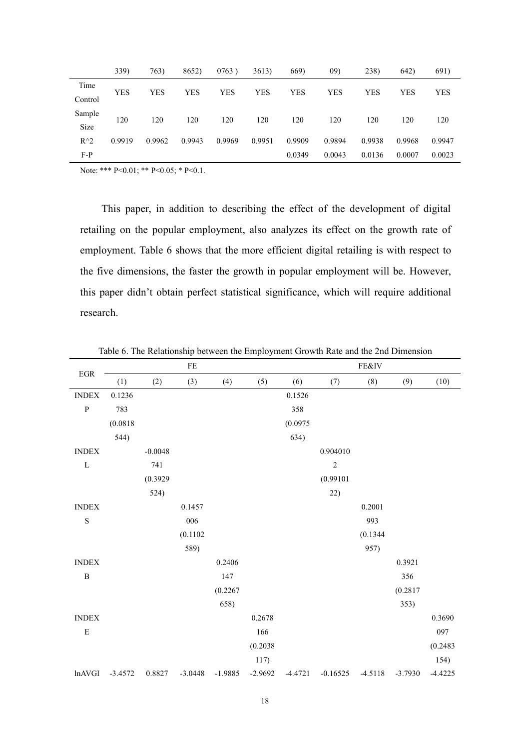|               | 339)   | 763)   | 8652)  | 0763)  | 3613)  | 669)   | 09)    | 238)       | 642)   | 691)       |
|---------------|--------|--------|--------|--------|--------|--------|--------|------------|--------|------------|
| Time          | YES    | YES    | YES    | YES    | YES    | YES    | YES    | <b>YES</b> | YES    | <b>YES</b> |
| Control       |        |        |        |        |        |        |        |            |        |            |
| Sample        | 120    | 120    | 120    | 120    | 120    | 120    | 120    | 120        | 120    | 120        |
| Size          |        |        |        |        |        |        |        |            |        |            |
| $R^{\wedge}2$ | 0.9919 | 0.9962 | 0.9943 | 0.9969 | 0.9951 | 0.9909 | 0.9894 | 0.9938     | 0.9968 | 0.9947     |
| $F-P$         |        |        |        |        |        | 0.0349 | 0.0043 | 0.0136     | 0.0007 | 0.0023     |

Note: \*\*\* P<0.01; \*\* P<0.05; \* P<0.1.

This paper, in addition to describing the effect of the development of digital retailing on the popular employment, also analyzes its effect on the growth rate of employment. Table 6 shows that the more efficient digital retailing is with respect to the five dimensions, the faster the growth in popular employment will be. However, this paper didn't obtain perfect statistical significance, which will require additional research.

|                               |           |           | $\rm FE$  |           |           |           |                | FE&IV     |           |           |
|-------------------------------|-----------|-----------|-----------|-----------|-----------|-----------|----------------|-----------|-----------|-----------|
| $_{\rm EGR}$                  | (1)       | (2)       | (3)       | (4)       | (5)       | (6)       | (7)            | (8)       | (9)       | (10)      |
| <b>INDEX</b>                  | 0.1236    |           |           |           |           | 0.1526    |                |           |           |           |
| ${\bf P}$                     | 783       |           |           |           |           | 358       |                |           |           |           |
|                               | (0.0818)  |           |           |           |           | (0.0975)  |                |           |           |           |
|                               | 544)      |           |           |           |           | 634)      |                |           |           |           |
| <b>INDEX</b>                  |           | $-0.0048$ |           |           |           |           | 0.904010       |           |           |           |
| L                             |           | 741       |           |           |           |           | $\overline{c}$ |           |           |           |
|                               |           | (0.3929)  |           |           |           |           | (0.99101)      |           |           |           |
|                               |           | 524)      |           |           |           |           | 22)            |           |           |           |
| <b>INDEX</b>                  |           |           | 0.1457    |           |           |           |                | 0.2001    |           |           |
| $\mathbf S$                   |           |           | 006       |           |           |           |                | 993       |           |           |
|                               |           |           | (0.1102)  |           |           |           |                | (0.1344)  |           |           |
|                               |           |           | 589)      |           |           |           |                | 957)      |           |           |
| $\ensuremath{\mathsf{INDEX}}$ |           |           |           | 0.2406    |           |           |                |           | 0.3921    |           |
| $\, {\bf B}$                  |           |           |           | 147       |           |           |                |           | 356       |           |
|                               |           |           |           | (0.2267)  |           |           |                |           | (0.2817)  |           |
|                               |           |           |           | 658)      |           |           |                |           | 353)      |           |
| <b>INDEX</b>                  |           |           |           |           | 0.2678    |           |                |           |           | 0.3690    |
| ${\bf E}$                     |           |           |           |           | 166       |           |                |           |           | 097       |
|                               |           |           |           |           | (0.2038)  |           |                |           |           | (0.2483)  |
|                               |           |           |           |           | 117)      |           |                |           |           | 154)      |
| lnAVGI                        | $-3.4572$ | 0.8827    | $-3.0448$ | $-1.9885$ | $-2.9692$ | $-4.4721$ | $-0.16525$     | $-4.5118$ | $-3.7930$ | $-4.4225$ |

Table 6. The Relationship between the Employment Growth Rate and the 2nd Dimension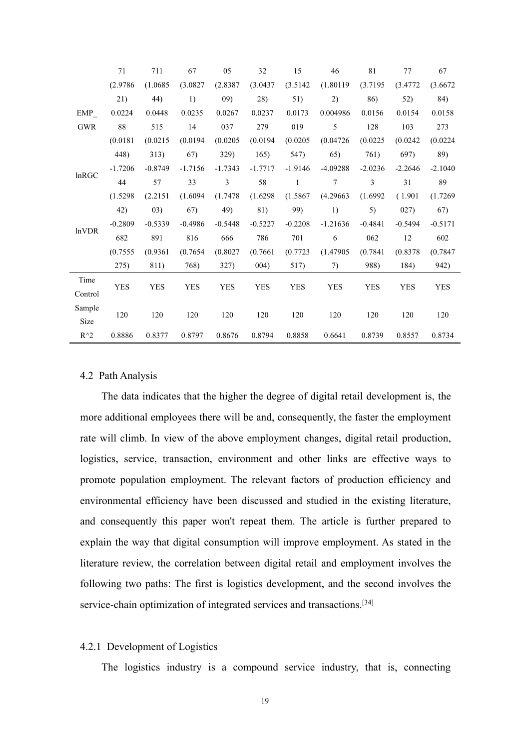|               | 71        | 711       | 67         | 05        | 32        | 15        | 46         | 81        | 77         | 67        |
|---------------|-----------|-----------|------------|-----------|-----------|-----------|------------|-----------|------------|-----------|
|               | (2.9786)  | (1.0685)  | (3.0827)   | (2.8387)  | (3.0437)  | (3.5142)  | (1.80119)  | (3.7195)  | (3.4772)   | (3.6672)  |
|               | 21)       | 44)       | 1)         | 09)       | 28)       | 51)       | 2)         | 86)       | 52)        | 84)       |
| EMP           | 0.0224    | 0.0448    | 0.0235     | 0.0267    | 0.0237    | 0.0173    | 0.004986   | 0.0156    | 0.0154     | 0.0158    |
| <b>GWR</b>    | 88        | 515       | 14         | 037       | 279       | 019       | 5          | 128       | 103        | 273       |
|               | (0.0181)  | (0.0215)  | (0.0194)   | (0.0205)  | (0.0194)  | (0.0205)  | (0.04726)  | (0.0225)  | (0.0242)   | (0.0224)  |
|               | 448)      | 313)      | 67)        | 329)      | 165)      | 547)      | 65)        | 761)      | 697)       | 89)       |
| lnRGC         | $-1.7206$ | $-0.8749$ | $-1.7156$  | $-1.7343$ | $-1.7717$ | $-1.9146$ | $-4.09288$ | $-2.0236$ | $-2.2646$  | $-2.1040$ |
|               | 44        | 57        | 33         | 3         | 58        | 1         | 7          | 3         | 31         | 89        |
|               | (1.5298)  | (2.2151)  | (1.6094)   | (1.7478)  | (1.6298)  | (1.5867)  | (4.29663)  | (1.6992)  | (1.901)    | (1.7269)  |
|               | 42)       | 03)       | 67)        | 49)       | 81)       | 99)       | 1)         | 5)        | 027)       | 67)       |
| <b>lnVDR</b>  | $-0.2809$ | $-0.5339$ | $-0.4986$  | $-0.5448$ | $-0.5227$ | $-0.2208$ | $-1.21636$ | $-0.4841$ | $-0.5494$  | $-0.5171$ |
|               | 682       | 891       | 816        | 666       | 786       | 701       | 6          | 062       | 12         | 602       |
|               | (0.7555)  | (0.9361)  | (0.7654)   | (0.8027)  | (0.7661)  | (0.7723)  | (1.47905   | (0.7841)  | (0.8378)   | (0.7847)  |
|               | 275)      | 811)      | 768)       | 327)      | 004)      | 517)      | 7)         | 988)      | 184)       | 942)      |
| Time          |           |           |            |           |           |           |            |           |            |           |
| Control       | YES       | YES       | <b>YES</b> | YES       | YES       | YES       | <b>YES</b> | YES       | <b>YES</b> | YES       |
| Sample        |           |           |            |           |           |           |            |           |            |           |
| Size          | 120       | 120       | 120        | 120       | 120       | 120       | 120        | 120       | 120        | 120       |
| $R^{\wedge}2$ | 0.8886    | 0.8377    | 0.8797     | 0.8676    | 0.8794    | 0.8858    | 0.6641     | 0.8739    | 0.8557     | 0.8734    |

### <span id="page-21-0"></span>4.2 Path Analysis

The data indicates that the higher the degree of digital retail development is, the more additional employees there will be and, consequently, the faster the employment rate will climb. In view of the above employment changes, digital retail production, logistics, service, transaction, environment and other links are effective ways to promote population employment. The relevant factors of production efficiency and environmental efficiency have been discussed and studied in the existing literature, and consequently this paper won't repeat them. The article is further prepared to explain the way that digital consumption will improve employment. As stated in the literature review, the correlation between digital retail and employment involves the following two paths: The first is logistics development, and the second involves the service-chain optimization of integrated services and transactions.<sup>[\[34](#page-32-10)]</sup>

#### 4.2.1 Development of Logistics

The logistics industry is a compound service industry, that is, connecting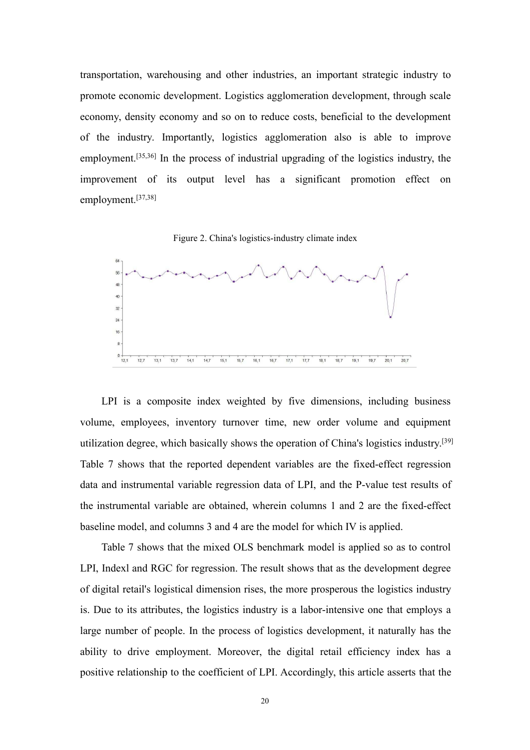transportation, warehousing and other industries, an important strategic industry to promote economic development. Logistics agglomeration development, through scale economy, density economy and so on to reduce costs, beneficial to the development of the industry. Importantly, logistics agglomeration also is able to improve employment.<sup>[[35](#page-32-11)[,36](#page-33-0)]</sup> In the process of industrial upgrading of the logistics industry, the improvement of its output level has a significant promotion effect on employment.[[37](#page-33-1)[,38](#page-33-2)]

Figure 2. China's logistics-industry climate index



LPI is a composite index weighted by five dimensions, including business volume, employees, inventory turnover time, new order volume and equipment utilization degree, which basically shows the operation of China's logistics industry.[[39\]](#page-33-3) Table 7 shows that the reported dependent variables are the fixed-effect regression data and instrumental variable regression data of LPI, and the P-value test results of the instrumental variable are obtained, wherein columns 1 and 2 are the fixed-effect baseline model, and columns 3 and 4 are the model for which IV is applied.

Table 7 shows that the mixed OLS benchmark model is applied so as to control LPI, Indexl and RGC for regression. The result shows that as the development degree of digital retail's logistical dimension rises, the more prosperous the logistics industry is. Due to its attributes, the logistics industry is a labor-intensive one that employs a large number of people. In the process of logistics development, it naturally has the ability to drive employment. Moreover, the digital retail efficiency index has a positive relationship to the coefficient of LPI. Accordingly, this article asserts that the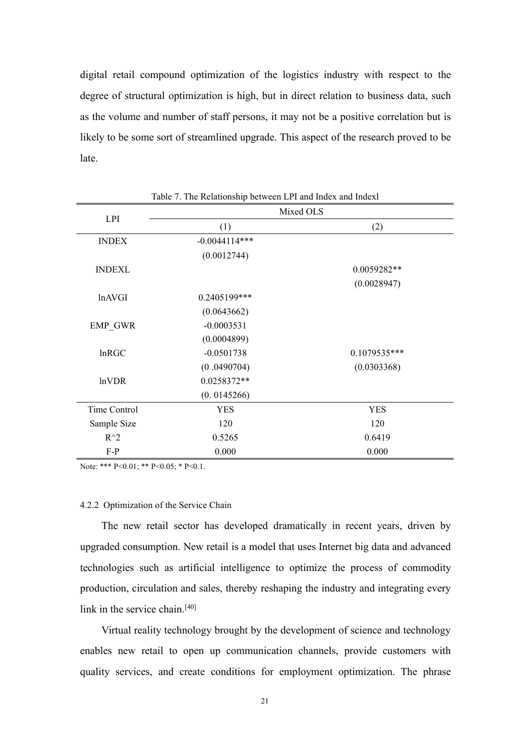digital retail compound optimization of the logistics industry with respect to the degree of structural optimization is high, but in direct relation to business data, such as the volume and number of staff persons, it may not be a positive correlation but is likely to be some sort of streamlined upgrade. This aspect of the research proved to be late.

| <b>LPI</b>     | Mixed OLS       |               |
|----------------|-----------------|---------------|
|                | (1)             | (2)           |
| <b>INDEX</b>   | $-0.0044114***$ |               |
|                | (0.0012744)     |               |
| <b>INDEXL</b>  |                 | $0.0059282**$ |
|                |                 | (0.0028947)   |
| lnAVGI         | 0.2405199***    |               |
|                | (0.0643662)     |               |
| <b>EMP GWR</b> | $-0.0003531$    |               |
|                | (0.0004899)     |               |
| <b>lnRGC</b>   | $-0.0501738$    | 0.1079535***  |
|                | (0.0490704)     | (0.0303368)   |
| lnVDR          | 0.0258372**     |               |
|                | (0.0145266)     |               |
| Time Control   | <b>YES</b>      | <b>YES</b>    |
| Sample Size    | 120             | 120           |
| $R^{\wedge}2$  | 0.5265          | 0.6419        |
| $F-P$          | 0.000           | 0.000         |

Table 7. The Relationship between LPI and Index and Indexl

Note: \*\*\* P<0.01; \*\* P<0.05; \* P<0.1.

#### 4.2.2 Optimization of the Service Chain

The new retail sector has developed dramatically in recent years, driven by upgraded consumption. New retail is a model that uses Internet big data and advanced technologies such as artificial intelligence to optimize the process of commodity production, circulation and sales, thereby reshaping the industry and integrating every link in the service chain.<sup>[\[40\]](#page-33-4)</sup>

Virtual reality technology brought by the development of science and technology enables new retail to open up communication channels, provide customers with quality services, and create conditions for employment optimization. The phrase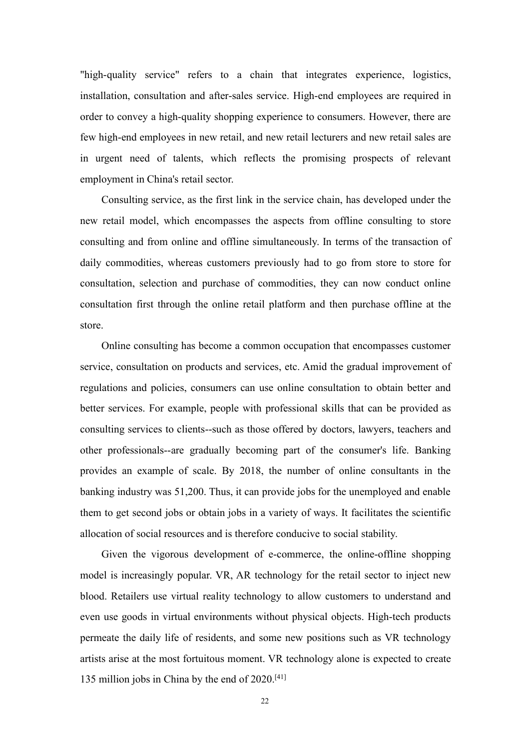"high-quality service" refers to a chain that integrates experience, logistics, installation, consultation and after-sales service. High-end employees are required in order to convey a high-quality shopping experience to consumers. However, there are few high-end employees in new retail, and new retail lecturers and new retail sales are in urgent need of talents, which reflects the promising prospects of relevant employment in China's retail sector.

Consulting service, as the first link in the service chain, has developed under the new retail model, which encompasses the aspects from offline consulting to store consulting and from online and offline simultaneously. In terms of the transaction of daily commodities, whereas customers previously had to go from store to store for consultation, selection and purchase of commodities, they can now conduct online consultation first through the online retail platform and then purchase offline at the store.

Online consulting has become a common occupation that encompasses customer service, consultation on products and services, etc. Amid the gradual improvement of regulations and policies, consumers can use online consultation to obtain better and better services. For example, people with professional skills that can be provided as consulting services to clients--such as those offered by doctors, lawyers, teachers and other professionals--are gradually becoming part of the consumer's life. Banking provides an example of scale. By 2018, the number of online consultants in the banking industry was 51,200. Thus, it can provide jobs for the unemployed and enable them to get second jobs or obtain jobs in a variety of ways. It facilitates the scientific allocation of social resources and is therefore conducive to social stability.

Given the vigorous development of e-commerce, the online-offline shopping model is increasingly popular. VR, AR technology for the retail sector to inject new blood. Retailers use virtual reality technology to allow customers to understand and even use goods in virtual environments without physical objects. High-tech products permeate the daily life of residents, and some new positions such as VR technology artists arise at the most fortuitous moment. VR technology alone is expected to create 135 million jobs in China by the end of 2020.[\[41\]](#page-33-5)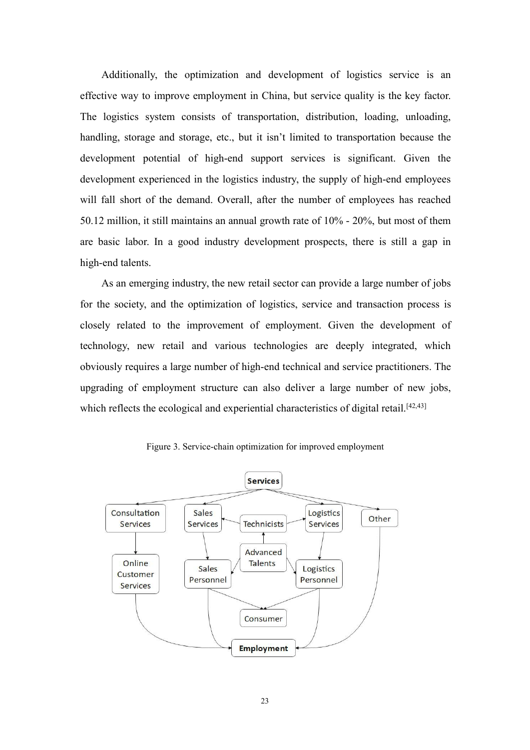Additionally, the optimization and development of logistics service is an effective way to improve employment in China, but service quality is the key factor. The logistics system consists of transportation, distribution, loading, unloading, handling, storage and storage, etc., but it isn't limited to transportation because the development potential of high-end support services is significant. Given the development experienced in the logistics industry, the supply of high-end employees will fall short of the demand. Overall, after the number of employees has reached 50.12 million, it still maintains an annual growth rate of 10% - 20%, but most of them are basic labor. In a good industry development prospects, there is still a gap in high-end talents.

As an emerging industry, the new retail sector can provide a large number of jobs for the society, and the optimization of logistics, service and transaction process is closely related to the improvement of employment. Given the development of technology, new retail and various technologies are deeply integrated, which obviously requires a large number of high-end technical and service practitioners. The upgrading of employment structure can also deliver a large number of new jobs, which reflects the ecological and experiential characteristics of digital retail.<sup>[\[42,](#page-33-6)[43](#page-33-7)]</sup>



Figure 3. Service-chain optimization for improved employment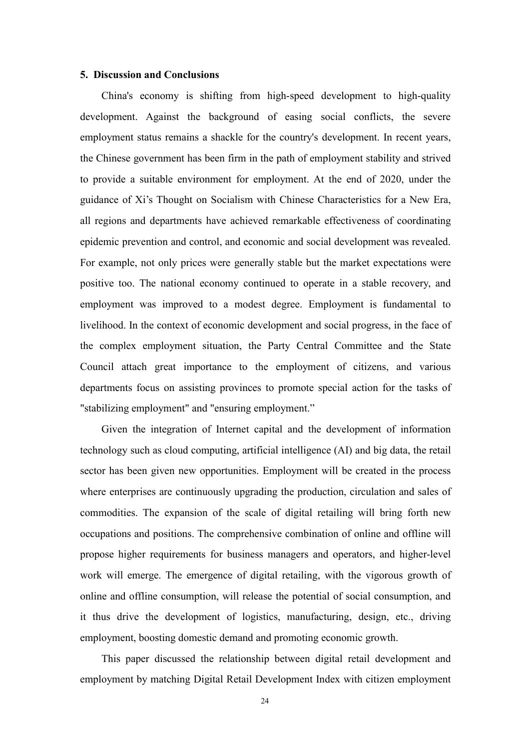#### <span id="page-26-0"></span>**5. Discussion and Conclusions**

China's economy is shifting from high-speed development to high-quality development. Against the background of easing social conflicts, the severe employment status remains a shackle for the country's development. In recent years, the Chinese government has been firm in the path of employment stability and strived to provide a suitable environment for employment. At the end of 2020, under the guidance of Xi's Thought on Socialism with Chinese Characteristics for a New Era, all regions and departments have achieved remarkable effectiveness of coordinating epidemic prevention and control, and economic and social development was revealed. For example, not only prices were generally stable but the market expectations were positive too. The national economy continued to operate in a stable recovery, and employment was improved to a modest degree. Employment is fundamental to livelihood. In the context of economic development and social progress, in the face of the complex employment situation, the Party Central Committee and the State Council attach great importance to the employment of citizens, and various departments focus on assisting provinces to promote special action for the tasks of "stabilizing employment" and "ensuring employment."

Given the integration of Internet capital and the development of information technology such as cloud computing, artificial intelligence (AI) and big data, the retail sector has been given new opportunities. Employment will be created in the process where enterprises are continuously upgrading the production, circulation and sales of commodities. The expansion of the scale of digital retailing will bring forth new occupations and positions. The comprehensive combination of online and offline will propose higher requirements for business managers and operators, and higher-level work will emerge. The emergence of digital retailing, with the vigorous growth of online and offline consumption, will release the potential of social consumption, and it thus drive the development of logistics, manufacturing, design, etc., driving employment, boosting domestic demand and promoting economic growth.

This paper discussed the relationship between digital retail development and employment by matching Digital Retail Development Index with citizen employment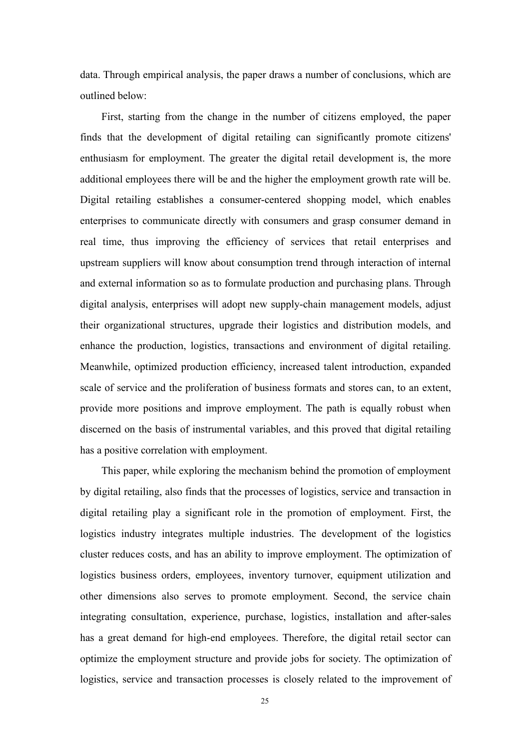data. Through empirical analysis, the paper draws a number of conclusions, which are outlined below:

First, starting from the change in the number of citizens employed, the paper finds that the development of digital retailing can significantly promote citizens' enthusiasm for employment. The greater the digital retail development is, the more additional employees there will be and the higher the employment growth rate will be. Digital retailing establishes a consumer-centered shopping model, which enables enterprises to communicate directly with consumers and grasp consumer demand in real time, thus improving the efficiency of services that retail enterprises and upstream suppliers will know about consumption trend through interaction of internal and external information so as to formulate production and purchasing plans. Through digital analysis, enterprises will adopt new supply-chain management models, adjust their organizational structures, upgrade their logistics and distribution models, and enhance the production, logistics, transactions and environment of digital retailing. Meanwhile, optimized production efficiency, increased talent introduction, expanded scale of service and the proliferation of business formats and stores can, to an extent, provide more positions and improve employment. The path is equally robust when discerned on the basis of instrumental variables, and this proved that digital retailing has a positive correlation with employment.

This paper, while exploring the mechanism behind the promotion of employment by digital retailing, also finds that the processes of logistics, service and transaction in digital retailing play a significant role in the promotion of employment. First, the logistics industry integrates multiple industries. The development of the logistics cluster reduces costs, and has an ability to improve employment. The optimization of logistics business orders, employees, inventory turnover, equipment utilization and other dimensions also serves to promote employment. Second, the service chain integrating consultation, experience, purchase, logistics, installation and after-sales has a great demand for high-end employees. Therefore, the digital retail sector can optimize the employment structure and provide jobs for society. The optimization of logistics, service and transaction processes is closely related to the improvement of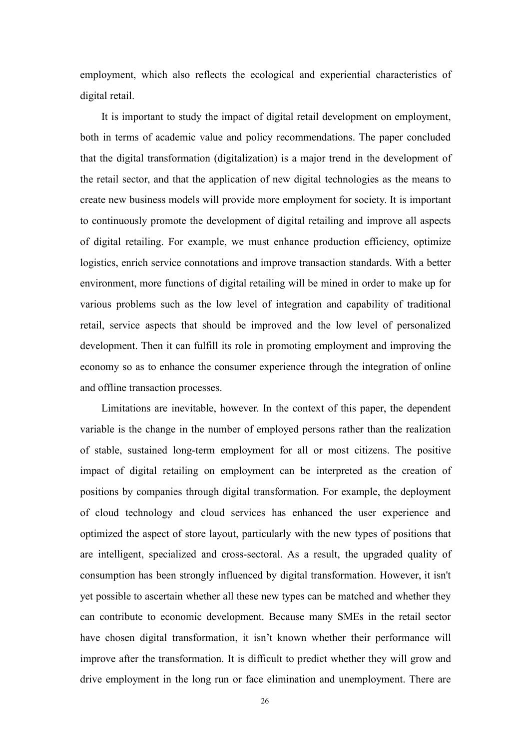employment, which also reflects the ecological and experiential characteristics of digital retail.

It is important to study the impact of digital retail development on employment, both in terms of academic value and policy recommendations. The paper concluded that the digital transformation (digitalization) is a major trend in the development of the retail sector, and that the application of new digital technologies as the means to create new business models will provide more employment for society. It is important to continuously promote the development of digital retailing and improve all aspects of digital retailing. For example, we must enhance production efficiency, optimize logistics, enrich service connotations and improve transaction standards. With a better environment, more functions of digital retailing will be mined in order to make up for various problems such as the low level of integration and capability of traditional retail, service aspects that should be improved and the low level of personalized development. Then it can fulfill its role in promoting employment and improving the economy so as to enhance the consumer experience through the integration of online and offline transaction processes.

Limitations are inevitable, however. In the context of this paper, the dependent variable is the change in the number of employed persons rather than the realization of stable, sustained long-term employment for all or most citizens. The positive impact of digital retailing on employment can be interpreted as the creation of positions by companies through digital transformation. For example, the deployment of cloud technology and cloud services has enhanced the user experience and optimized the aspect of store layout, particularly with the new types of positions that are intelligent, specialized and cross-sectoral. As a result, the upgraded quality of consumption has been strongly influenced by digital transformation. However, it isn't yet possible to ascertain whether all these new types can be matched and whether they can contribute to economic development. Because many SMEs in the retail sector have chosen digital transformation, it isn't known whether their performance will improve after the transformation. It is difficult to predict whether they will grow and drive employment in the long run or face elimination and unemployment. There are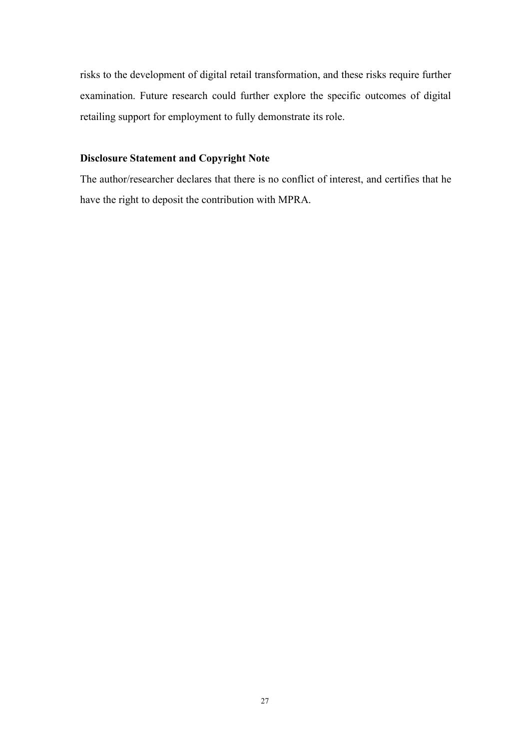risks to the development of digital retail transformation, and these risks require further examination. Future research could further explore the specific outcomes of digital retailing support for employment to fully demonstrate its role.

### **Disclosure Statement and Copyright Note**

The author/researcher declares that there is no conflict of interest, and certifies that he have the right to deposit the contribution with MPRA.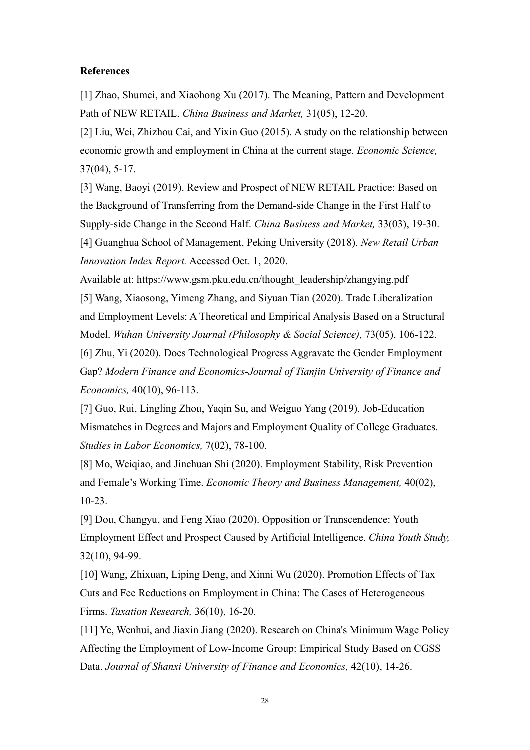#### <span id="page-30-0"></span>**References**

<span id="page-30-1"></span>[1] Zhao, Shumei, and Xiaohong Xu (2017). The Meaning, Pattern and Development Path of NEW RETAIL. *China Business and Market,* 31(05), 12-20.

<span id="page-30-2"></span>[2] Liu, Wei, Zhizhou Cai, and Yixin Guo (2015). A study on the relationship between economic growth and employment in China at the current stage. *Economic Science,* 37(04), 5-17.

<span id="page-30-3"></span>[3] Wang, Baoyi (2019). Review and Prospect of NEW RETAIL Practice: Based on the Background of Transferring from the Demand-side Change in the First Half to Supply-side Change in the Second Half. *China Business and Market,* 33(03), 19-30.

<span id="page-30-4"></span>[4] Guanghua School of Management, Peking University (2018). *New Retail Urban Innovation Index Report.* Accessed Oct. 1, 2020.

<span id="page-30-5"></span>Available at: https://www.gsm.pku.edu.cn/thought\_leadership/zhangying.pdf [5] Wang, Xiaosong, Yimeng Zhang, and Siyuan Tian (2020). Trade Liberalization and Employment Levels: A Theoretical and Empirical Analysis Based on a Structural Model. *Wuhan University Journal (Philosophy & Social Science),* 73(05), 106-122.

<span id="page-30-6"></span>[6] Zhu, Yi (2020). Does Technological Progress Aggravate the Gender Employment Gap? *Modern Finance and Economics-Journal of Tianjin University of Finance and Economics,* 40(10), 96-113.

<span id="page-30-7"></span>[7] Guo, Rui, Lingling Zhou, Yaqin Su, and Weiguo Yang (2019). Job-Education Mismatches in Degrees and Majors and Employment Quality of College Graduates. *Studies in Labor Economics,* 7(02), 78-100.

<span id="page-30-8"></span>[8] Mo, Weiqiao, and Jinchuan Shi (2020). Employment Stability, Risk Prevention and Female's Working Time. *Economic Theory and Business Management,* 40(02), 10-23.

<span id="page-30-9"></span>[9] Dou, Changyu, and Feng Xiao (2020). Opposition or Transcendence: Youth Employment Effect and Prospect Caused by Artificial Intelligence. *China Youth Study,* 32(10), 94-99.

<span id="page-30-10"></span>[10] Wang, Zhixuan, Liping Deng, and Xinni Wu (2020). Promotion Effects of Tax Cuts and Fee Reductions on Employment in China: The Cases of Heterogeneous Firms. *Taxation Research,* 36(10), 16-20.

<span id="page-30-11"></span>[11] Ye, Wenhui, and Jiaxin Jiang (2020). Research on China's Minimum Wage Policy Affecting the Employment of Low-Income Group: Empirical Study Based on CGSS Data. *Journal of Shanxi University of Finance and Economics,* 42(10), 14-26.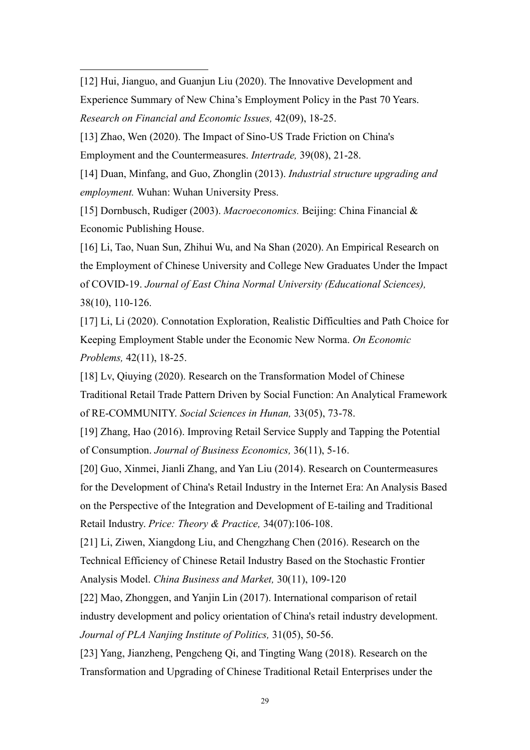<span id="page-31-0"></span>[12] Hui, Jianguo, and Guanjun Liu (2020). The Innovative Development and Experience Summary of New China's Employment Policy in the Past 70 Years. *Research on Financial and Economic Issues,* 42(09), 18-25.

<span id="page-31-1"></span>[13] Zhao, Wen (2020). The Impact of Sino-US Trade Friction on China's Employment and the Countermeasures. *Intertrade,* 39(08), 21-28.

<span id="page-31-2"></span>[14] Duan, Minfang, and Guo, Zhonglin (2013). *Industrial structure upgrading and employment.* Wuhan: Wuhan University Press.

<span id="page-31-3"></span>[15] Dornbusch, Rudiger (2003). *Macroeconomics.* Beijing: China Financial & Economic Publishing House.

<span id="page-31-4"></span>[16] Li, Tao, Nuan Sun, Zhihui Wu, and Na Shan (2020). An Empirical Research on the Employment of Chinese University and College New Graduates Under the Impact of COVID-19. *Journal of East China Normal University (Educational Sciences),* 38(10), 110-126.

<span id="page-31-5"></span>[17] Li, Li (2020). Connotation Exploration, Realistic Difficulties and Path Choice for Keeping Employment Stable under the Economic New Norma. *On Economic Problems,* 42(11), 18-25.

<span id="page-31-6"></span>[18] Lv, Qiuying (2020). Research on the Transformation Model of Chinese Traditional Retail Trade Pattern Driven by Social Function: An Analytical Framework of RE-COMMUNITY. *Social Sciences in Hunan,* 33(05), 73-78.

<span id="page-31-7"></span>[19] Zhang, Hao (2016). Improving Retail Service Supply and Tapping the Potential of Consumption. *Journal of Business Economics,* 36(11), 5-16.

<span id="page-31-8"></span>[20] Guo, Xinmei, Jianli Zhang, and Yan Liu (2014). Research on Countermeasures for the Development of China's Retail Industry in the Internet Era: An Analysis Based on the Perspective of the Integration and Development of E-tailing and Traditional Retail Industry. *Price: Theory & Practice,* 34(07):106-108.

<span id="page-31-9"></span>[21] Li, Ziwen, Xiangdong Liu, and Chengzhang Chen (2016). Research on the Technical Efficiency of Chinese Retail Industry Based on the Stochastic Frontier Analysis Model. *China Business and Market,* 30(11), 109-120

<span id="page-31-10"></span>[22] Mao, Zhonggen, and Yanjin Lin (2017). International comparison of retail industry development and policy orientation of China's retail industry development. *Journal of PLA Nanjing Institute of Politics,* 31(05), 50-56.

<span id="page-31-11"></span>[23] Yang, Jianzheng, Pengcheng Qi, and Tingting Wang (2018). Research on the Transformation and Upgrading of Chinese Traditional Retail Enterprises under the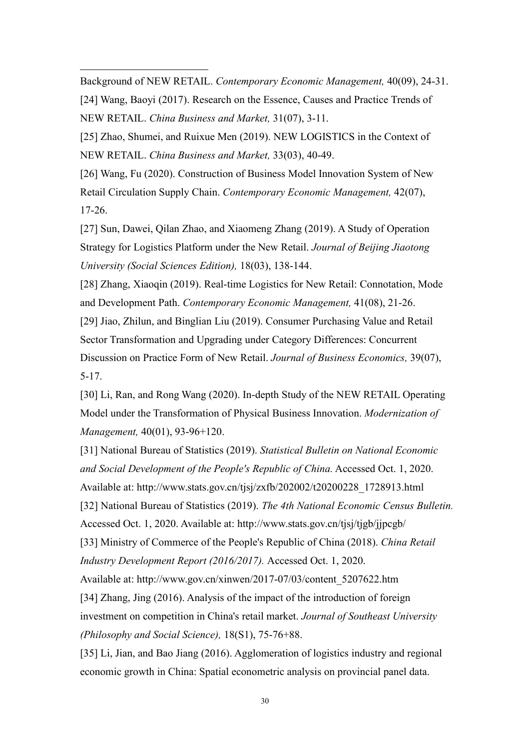Background of NEW RETAIL. *Contemporary Economic Management,* 40(09), 24-31.

<span id="page-32-0"></span>[24] Wang, Baoyi (2017). Research on the Essence, Causes and Practice Trends of NEW RETAIL. *China Business and Market,* 31(07), 3-11.

<span id="page-32-1"></span>[25] Zhao, Shumei, and Ruixue Men (2019). NEW LOGISTICS in the Context of NEW RETAIL. *China Business and Market,* 33(03), 40-49.

<span id="page-32-2"></span>[26] Wang, Fu (2020). Construction of Business Model Innovation System of New Retail Circulation Supply Chain. *Contemporary Economic Management,* 42(07), 17-26.

<span id="page-32-3"></span>[27] Sun, Dawei, Qilan Zhao, and Xiaomeng Zhang (2019). A Study of Operation Strategy for Logistics Platform under the New Retail. *Journal of Beijing Jiaotong University (Social Sciences Edition),* 18(03), 138-144.

<span id="page-32-4"></span>[28] Zhang, Xiaoqin (2019). Real-time Logistics for New Retail: Connotation, Mode and Development Path. *Contemporary Economic Management,* 41(08), 21-26.

<span id="page-32-5"></span>[29] Jiao, Zhilun, and Binglian Liu (2019). Consumer Purchasing Value and Retail Sector Transformation and Upgrading under Category Differences: Concurrent Discussion on Practice Form of New Retail. *Journal of Business Economics,* 39(07), 5-17.

<span id="page-32-6"></span>[30] Li, Ran, and Rong Wang (2020). In-depth Study of the NEW RETAIL Operating Model under the Transformation of Physical Business Innovation. *Modernization of Management,* 40(01), 93-96+120.

<span id="page-32-9"></span><span id="page-32-8"></span><span id="page-32-7"></span>[31] National Bureau of Statistics (2019). *Statistical Bulletin on National Economic and Social Development of the People's Republic of China.* Accessed Oct. 1, 2020. Available at: http://www.stats.gov.cn/tjsj/zxfb/202002/t20200228\_1728913.html [32] National Bureau of Statistics (2019). *The 4th National Economic Census Bulletin.* Accessed Oct. 1, 2020. Available at: http://www.stats.gov.cn/tjsj/tjgb/jjpcgb/ [33] Ministry of Commerce of the People's Republic of China (2018). *China Retail Industry Development Report (2016/2017).* Accessed Oct. 1, 2020. Available at: http://www.gov.cn/xinwen/2017-07/03/content\_5207622.htm [34] Zhang, Jing (2016). Analysis of the impact of the introduction of foreign investment on competition in China's retail market. *Journal of Southeast University (Philosophy and Social Science),* 18(S1), 75-76+88.

<span id="page-32-11"></span><span id="page-32-10"></span>[35] Li, Jian, and Bao Jiang (2016). Agglomeration of logistics industry and regional economic growth in China: Spatial econometric analysis on provincial panel data.